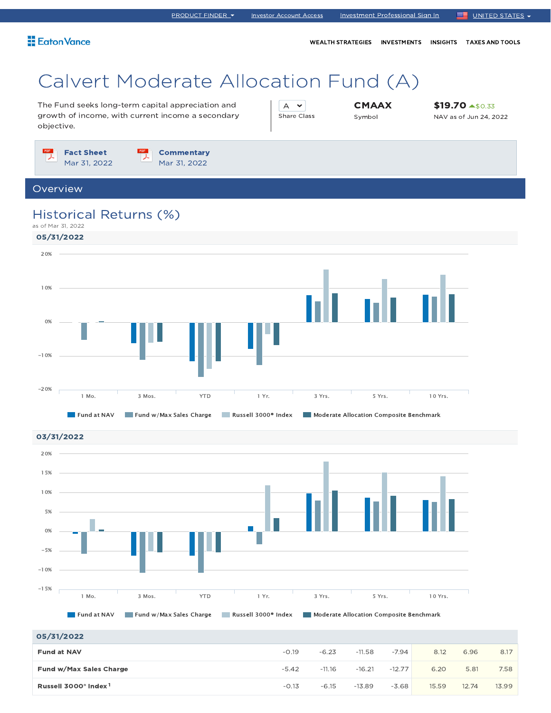WEALTH STRATEGIES INVESTMENTS INSIGHTS TAXES AND TOOLS

# Calvert Moderate Allocation Fund (A)

The Fund seeks long-term capital appreciation and growth of income, with current income a secondary objective.

A  $\sim$ Share Class **CMAAX** Symbol

\$19.70 \$0.33 NAV as of Jun 24, 2022

 $\frac{PDF}{\lambda}$ Fact Sheet **Commentary** Mar 31, 2022 Mar 31, 2022

### Overview

### Historical Returns (%)





| 05/31/2022                                   |         |          |          |          |       |       |       |
|----------------------------------------------|---------|----------|----------|----------|-------|-------|-------|
| <b>Fund at NAV</b>                           | $-0.19$ | $-6.23$  | $-11.58$ | $-7.94$  | 8.12  | 6.96  | 8.17  |
| Fund w/Max Sales Charge                      | $-5.42$ | $-11.16$ | $-16.21$ | $-12.77$ | 6.20  | 5.81  | 7.58  |
| Russell 3000 <sup>®</sup> Index <sup>1</sup> | $-0.13$ | $-6.15$  | $-13.89$ | $-3.68$  | 15.59 | 12.74 | 13.99 |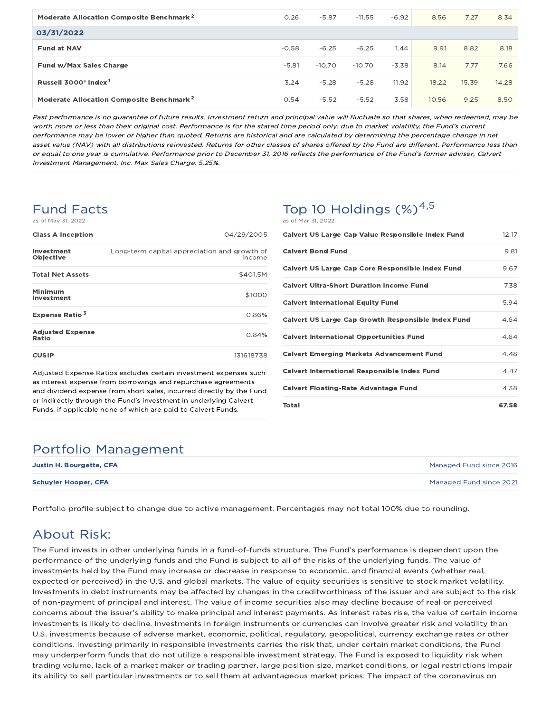| Moderate Allocation Composite Benchmark <sup>2</sup> | 0.26    | $-5.87$  | $-11.55$ | $-6.92$ | 8.56  | 7.27  | 8.34  |
|------------------------------------------------------|---------|----------|----------|---------|-------|-------|-------|
| 03/31/2022                                           |         |          |          |         |       |       |       |
| <b>Fund at NAV</b>                                   | $-0.58$ | $-6.25$  | $-6.25$  | 1.44    | 9.91  | 8.82  | 8.18  |
| Fund w/Max Sales Charge                              | $-5.81$ | $-10.70$ | $-10.70$ | $-3.38$ | 8.14  | 7.77  | 7.66  |
| Russell 3000 <sup>®</sup> Index <sup>1</sup>         | 3.24    | $-5.28$  | $-5.28$  | 11.92   | 18.22 | 15.39 | 14.28 |
| Moderate Allocation Composite Benchmark <sup>2</sup> | 0.54    | $-5.52$  | $-5.52$  | 3.58    | 10.56 | 9.25  | 8.50  |

Past performance is no guarantee of future results. Investment return and principal value will fluctuate so that shares, when redeemed, may be worth more or less than their original cost. Performance is for the stated time period only; due to market volatility, the Fund's current performance may be lower or higher than quoted. Returns are historical and are calculated by determining the percentage change in net asset value (NAV) with all distributions reinvested. Returns for other classes of shares offered by the Fund are different. Performance less than or equal to one year is cumulative. Performance prior to December 31, 2016 reflects the performance of the Fund's former adviser, Calvert Investment Management, Inc. Max Sales Charge: 5.25%.

### Fund Facts as of May 31, 2022

| <b>Class A Inception</b>         | 04/29/2005                                             |
|----------------------------------|--------------------------------------------------------|
| Investment<br>Objective          | Long-term capital appreciation and growth of<br>income |
| <b>Total Net Assets</b>          | \$401.5M                                               |
| Minimum<br>Investment            | \$1000                                                 |
| <b>Expense Ratio<sup>3</sup></b> | 0.86%                                                  |
| <b>Adjusted Expense</b><br>Ratio | 0.84%                                                  |
| <b>CUSIP</b>                     | 131618738                                              |

Adjusted Expense Ratios excludes certain investment expenses such as interest expense from borrowings and repurchase agreements and dividend expense from short sales, incurred directly by the Fund or indirectly through the Fund's investment in underlying Calvert Funds, if applicable none of which are paid to Calvert Funds.

## Top 10 Holdings  $(\%)^{4,5}$

| as of Mar 31, 2022                                        |       |
|-----------------------------------------------------------|-------|
| <b>Calvert US Large Cap Value Responsible Index Fund</b>  | 12.17 |
| <b>Calvert Bond Fund</b>                                  | 9.81  |
| <b>Calvert US Large Cap Core Responsible Index Fund</b>   | 9.67  |
| <b>Calvert Ultra-Short Duration Income Fund</b>           | 7.38  |
| <b>Calvert International Equity Fund</b>                  | 5.94  |
| <b>Calvert US Large Cap Growth Responsible Index Fund</b> | 4.64  |
| <b>Calvert International Opportunities Fund</b>           | 4.64  |
| <b>Calvert Emerging Markets Advancement Fund</b>          | 4.48  |
| <b>Calvert International Responsible Index Fund</b>       | 4.47  |
| <b>Calvert Floating-Rate Advantage Fund</b>               | 4.38  |
| Total                                                     | 67.58 |

### Portfolio Management

| <b>Justin H. Bourgette, CFA</b> | Managed Fund since 2016 |
|---------------------------------|-------------------------|
| <b>Schuyler Hooper, CFA</b>     | Managed Fund since 2021 |

Portfolio profile subject to change due to active management. Percentages may not total 100% due to rounding.

## About Risk:

The Fund invests in other underlying funds in a fund-of-funds structure. The Fund's performance is dependent upon the performance of the underlying funds and the Fund is subject to all of the risks of the underlying funds. The value of investments held by the Fund may increase or decrease in response to economic, and financial events (whether real, expected or perceived) in the U.S. and global markets. The value of equity securities is sensitive to stock market volatility. Investments in debt instruments may be affected by changes in the creditworthiness of the issuer and are subject to the risk of non-payment of principal and interest. The value of income securities also may decline because of real or perceived concerns about the issuer's ability to make principal and interest payments. As interest rates rise, the value of certain income investments is likely to decline. Investments in foreign instruments or currencies can involve greater risk and volatility than U.S. investments because of adverse market, economic, political, regulatory, geopolitical, currency exchange rates or other conditions. Investing primarily in responsible investments carries the risk that, under certain market conditions, the Fund may underperform funds that do not utilize a responsible investment strategy. The Fund is exposed to liquidity risk when trading volume, lack of a market maker or trading partner, large position size, market conditions, or legal restrictions impair its ability to sell particular investments or to sell them at advantageous market prices. The impact of the coronavirus on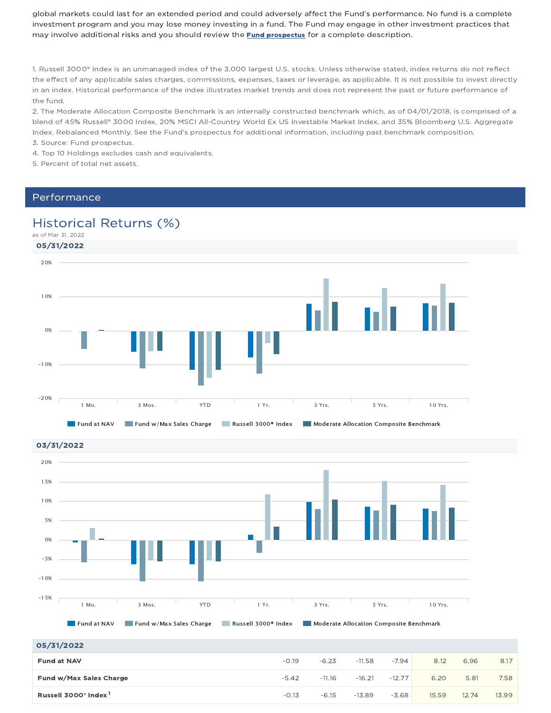global markets could last for an extended period and could adversely affect the Fund's performance. No fund is a complete investment program and you may lose money investing in a fund. The Fund may engage in other investment practices that may involve additional risks and you should review the **Fund prospectus** for a complete description.

1. Russell 3000® Index is an unmanaged index of the 3,000 largest U.S. stocks. Unless otherwise stated, index returns do not reflect the effect of any applicable sales charges, commissions, expenses, taxes or leverage, as applicable. It is not possible to invest directly in an index. Historical performance of the index illustrates market trends and does not represent the past or future performance of the fund.

2. The Moderate Allocation Composite Benchmark is an internally constructed benchmark which, as of 04/01/2018, is comprised of a blend of 45% Russell® 3000 Index, 20% MSCI All-Country World Ex US Investable Market Index, and 35% Bloomberg U.S. Aggregate Index. Rebalanced Monthly. See the Fund's prospectus for additional information, including past benchmark composition. 3. Source: Fund prospectus.

4. Top 10 Holdings excludes cash and equivalents.

5. Percent of total net assets.

### Performance

### Historical Returns (%)





| 0.973174044                                  |         |          |          |          |       |       |       |
|----------------------------------------------|---------|----------|----------|----------|-------|-------|-------|
| <b>Fund at NAV</b>                           | $-0.19$ | $-6.23$  | $-11.58$ | $-7.94$  | 8.12  | 6.96  | 8.17  |
| Fund w/Max Sales Charge                      | $-5.42$ | $-11.16$ | $-16.21$ | $-12.77$ | 6.20  | 5.81  | 7.58  |
| Russell 3000 <sup>®</sup> Index <sup>1</sup> | $-0.13$ | $-6.15$  | $-13.89$ | $-3.68$  | 15.59 | 12.74 | 13.99 |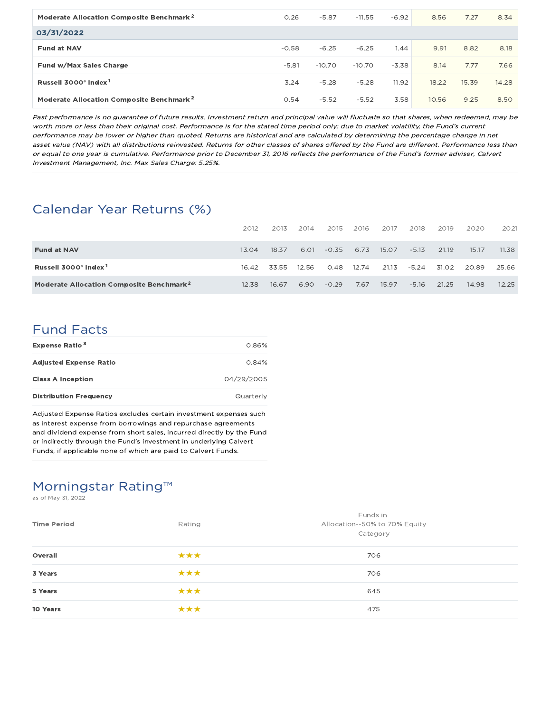| Moderate Allocation Composite Benchmark <sup>2</sup> | 0.26    | $-5.87$  | $-11.55$ | $-6.92$ | 8.56  | 7.27  | 8.34  |
|------------------------------------------------------|---------|----------|----------|---------|-------|-------|-------|
| 03/31/2022                                           |         |          |          |         |       |       |       |
| <b>Fund at NAV</b>                                   | $-0.58$ | $-6.25$  | $-6.25$  | 1.44    | 9.91  | 8.82  | 8.18  |
| Fund w/Max Sales Charge                              | $-5.81$ | $-10.70$ | $-10.70$ | $-3.38$ | 8.14  | 7.77  | 7.66  |
| Russell 3000 <sup>®</sup> Index <sup>1</sup>         | 3.24    | $-5.28$  | $-5.28$  | 11.92   | 18.22 | 15.39 | 14.28 |
| Moderate Allocation Composite Benchmark <sup>2</sup> | 0.54    | $-5.52$  | $-5.52$  | 3.58    | 10.56 | 9.25  | 8.50  |

Past performance is no guarantee of future results. Investment return and principal value will fluctuate so that shares, when redeemed, may be worth more or less than their original cost. Performance is for the stated time period only; due to market volatility, the Fund's current performance may be lower or higher than quoted. Returns are historical and are calculated by determining the percentage change in net asset value (NAV) with all distributions reinvested. Returns for other classes of shares offered by the Fund are different. Performance less than or equal to one year is cumulative. Performance prior to December 31, 2016 reflects the performance of the Fund's former adviser, Calvert Investment Management, Inc. Max Sales Charge: 5.25%.

## Calendar Year Returns (%)

|                                                      | 2012  | 2013  | 2014  | 2015    | 2016  | 2017  | 2018    | 2019  | 2020  | 2021  |
|------------------------------------------------------|-------|-------|-------|---------|-------|-------|---------|-------|-------|-------|
| <b>Fund at NAV</b>                                   | 13.04 | 18.37 | 6.01  | $-0.35$ | 6.73  | 15.07 | $-5.13$ | 21.19 | 15.17 | 11.38 |
| Russell 3000 <sup>®</sup> Index <sup>1</sup>         | 16.42 | 33.55 | 12.56 | 0.48    | 12.74 | 21.13 | $-5.24$ | 31.02 | 20.89 | 25.66 |
| Moderate Allocation Composite Benchmark <sup>2</sup> | 12.38 | 16.67 | 6.90  | $-0.29$ | 7.67  | 15.97 | $-5.16$ | 21.25 | 14.98 | 12.25 |

### Fund Facts

| <b>Expense Ratio<sup>3</sup></b> | 0.86%      |
|----------------------------------|------------|
| <b>Adjusted Expense Ratio</b>    | 0.84%      |
| <b>Class A Inception</b>         | 04/29/2005 |
| <b>Distribution Frequency</b>    | Quarterly  |

Adjusted Expense Ratios excludes certain investment expenses such as interest expense from borrowings and repurchase agreements and dividend expense from short sales, incurred directly by the Fund or indirectly through the Fund's investment in underlying Calvert Funds, if applicable none of which are paid to Calvert Funds.

## Morningstar Rating™

as of May 31, 2022

| <b>Time Period</b> | Rating | Funds in<br>Allocation--50% to 70% Equity<br>Category |
|--------------------|--------|-------------------------------------------------------|
| Overall            | ***    | 706                                                   |
| 3 Years            | ***    | 706                                                   |
| 5 Years            | ***    | 645                                                   |
| 10 Years           | ***    | 475                                                   |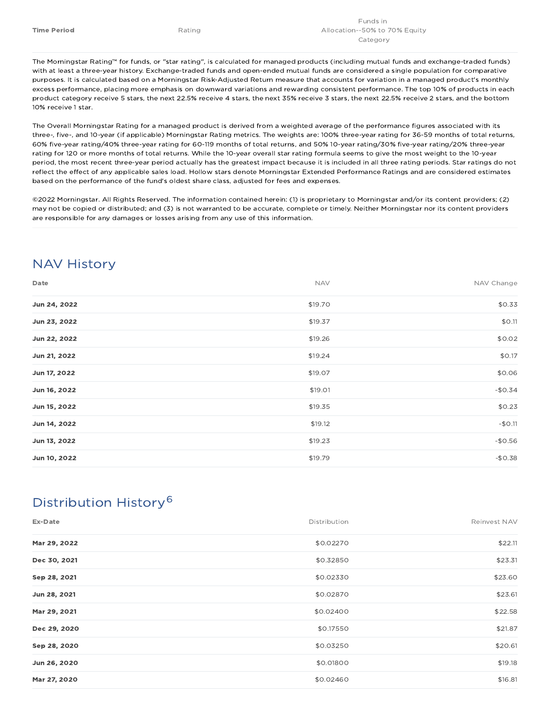The Morningstar Rating™ for funds, or "star rating", is calculated for managed products (including mutual funds and exchange-traded funds) with at least a three-year history. Exchange-traded funds and open-ended mutual funds are considered a single population for comparative purposes. It is calculated based on a Morningstar Risk-Adjusted Return measure that accounts for variation in a managed product's monthly excess performance, placing more emphasis on downward variations and rewarding consistent performance. The top 10% of products in each product category receive 5 stars, the next 22.5% receive 4 stars, the next 35% receive 3 stars, the next 22.5% receive 2 stars, and the bottom 10% receive 1 star.

The Overall Morningstar Rating for a managed product is derived from a weighted average of the performance figures associated with its three-, five-, and 10-year (if applicable) Morningstar Rating metrics. The weights are: 100% three-year rating for 36-59 months of total returns, 60% five-year rating/40% three-year rating for 60-119 months of total returns, and 50% 10-year rating/30% five-year rating/20% three-year rating for 120 or more months of total returns. While the 10-year overall star rating formula seems to give the most weight to the 10-year period, the most recent three-year period actually has the greatest impact because it is included in all three rating periods. Star ratings do not reflect the effect of any applicable sales load. Hollow stars denote Morningstar Extended Performance Ratings and are considered estimates based on the performance of the fund's oldest share class, adjusted for fees and expenses.

©2022 Morningstar. All Rights Reserved. The information contained herein: (1) is proprietary to Morningstar and/or its content providers; (2) may not be copied or distributed; and (3) is not warranted to be accurate, complete or timely. Neither Morningstar nor its content providers are responsible for any damages or losses arising from any use of this information.

## NAV History

| Date         | <b>NAV</b> | NAV Change |
|--------------|------------|------------|
| Jun 24, 2022 | \$19.70    | \$0.33     |
| Jun 23, 2022 | \$19.37    | \$0.11     |
| Jun 22, 2022 | \$19.26    | \$0.02     |
| Jun 21, 2022 | \$19.24    | \$0.17     |
| Jun 17, 2022 | \$19.07    | \$0.06     |
| Jun 16, 2022 | \$19.01    | $-$0.34$   |
| Jun 15, 2022 | \$19.35    | \$0.23     |
| Jun 14, 2022 | \$19.12    | $-$0.11$   |
| Jun 13, 2022 | \$19.23    | $-$0.56$   |
| Jun 10, 2022 | \$19.79    | $-$0.38$   |

## Distribution History 6

| Ex-Date      | Distribution | Reinvest NAV |
|--------------|--------------|--------------|
| Mar 29, 2022 | \$0.02270    | \$22.11      |
| Dec 30, 2021 | \$0.32850    | \$23.31      |
| Sep 28, 2021 | \$0.02330    | \$23.60      |
| Jun 28, 2021 | \$0.02870    | \$23.61      |
| Mar 29, 2021 | \$0.02400    | \$22.58      |
| Dec 29, 2020 | \$0.17550    | \$21.87      |
| Sep 28, 2020 | \$0.03250    | \$20.61      |
| Jun 26, 2020 | \$0.01800    | \$19.18      |
| Mar 27, 2020 | \$0.02460    | \$16.81      |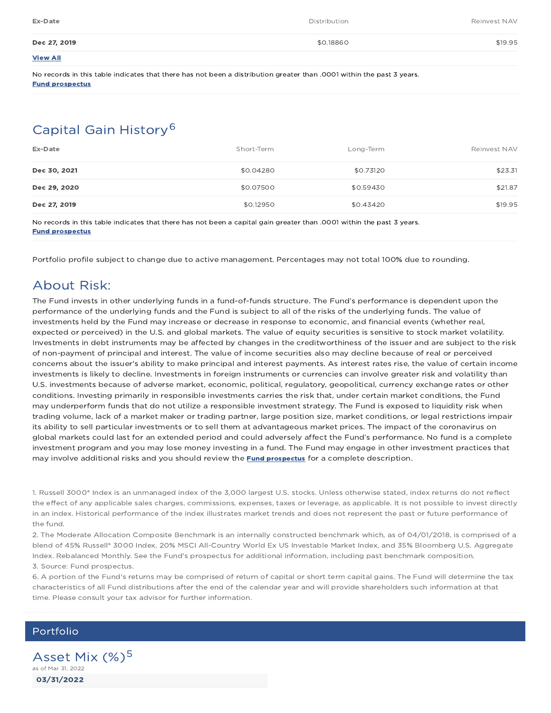| Ex-Date         | Distribution | Reinvest NAV |
|-----------------|--------------|--------------|
| Dec 27, 2019    | \$0.18860    | \$19.95      |
| <b>View All</b> |              |              |

No records in this table indicates that there has not been a distribution greater than .0001 within the past 3 years. Fund prospectus

## Capital Gain History 6

| Ex-Date      | Short-Term | Long-Term | Reinvest NAV |
|--------------|------------|-----------|--------------|
| Dec 30, 2021 | \$0.04280  | \$0.73120 | \$23.31      |
| Dec 29, 2020 | \$0.07500  | \$0.59430 | \$21.87      |
| Dec 27, 2019 | \$0.12950  | \$0.43420 | \$19.95      |

No records in this table indicates that there has not been a capital gain greater than .0001 within the past 3 years. Fund prospectus

Portfolio profile subject to change due to active management. Percentages may not total 100% due to rounding.

### About Risk:

The Fund invests in other underlying funds in a fund-of-funds structure. The Fund's performance is dependent upon the performance of the underlying funds and the Fund is subject to all of the risks of the underlying funds. The value of investments held by the Fund may increase or decrease in response to economic, and financial events (whether real, expected or perceived) in the U.S. and global markets. The value of equity securities is sensitive to stock market volatility. Investments in debt instruments may be affected by changes in the creditworthiness of the issuer and are subject to the risk of non-payment of principal and interest. The value of income securities also may decline because of real or perceived concerns about the issuer's ability to make principal and interest payments. As interest rates rise, the value of certain income investments is likely to decline. Investments in foreign instruments or currencies can involve greater risk and volatility than U.S. investments because of adverse market, economic, political, regulatory, geopolitical, currency exchange rates or other conditions. Investing primarily in responsible investments carries the risk that, under certain market conditions, the Fund may underperform funds that do not utilize a responsible investment strategy. The Fund is exposed to liquidity risk when trading volume, lack of a market maker or trading partner, large position size, market conditions, or legal restrictions impair its ability to sell particular investments or to sell them at advantageous market prices. The impact of the coronavirus on global markets could last for an extended period and could adversely affect the Fund's performance. No fund is a complete investment program and you may lose money investing in a fund. The Fund may engage in other investment practices that may involve additional risks and you should review the **Fund prospectus** for a complete description.

1. Russell 3000® Index is an unmanaged index of the 3,000 largest U.S. stocks. Unless otherwise stated, index returns do not reflect the effect of any applicable sales charges, commissions, expenses, taxes or leverage, as applicable. It is not possible to invest directly in an index. Historical performance of the index illustrates market trends and does not represent the past or future performance of the fund.

2. The Moderate Allocation Composite Benchmark is an internally constructed benchmark which, as of 04/01/2018, is comprised of a blend of 45% Russell® 3000 Index, 20% MSCI All-Country World Ex US Investable Market Index, and 35% Bloomberg U.S. Aggregate Index. Rebalanced Monthly. See the Fund's prospectus for additional information, including past benchmark composition. 3. Source: Fund prospectus.

6. A portion of the Fund's returns may be comprised of return of capital or short term capital gains. The Fund will determine the tax characteristics of all Fund distributions after the end of the calendar year and will provide shareholders such information at that time. Please consult your tax advisor for further information.

### Portfolio

03/31/2022 Asset Mix (%)<sup>5</sup> as of Mar 31, 2022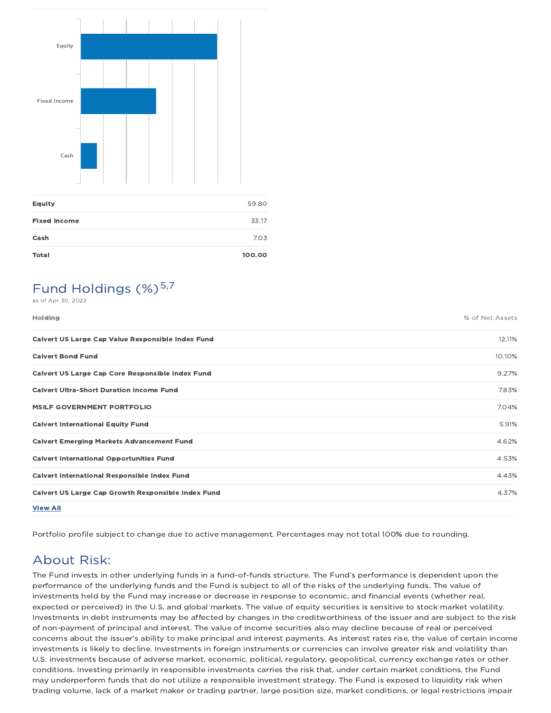

| <b>Equity</b>       | 59.80  |
|---------------------|--------|
| <b>Fixed Income</b> | 33.17  |
| Cash                | 7.03   |
| <b>Total</b>        | 100.00 |

## Fund Holdings (%)<sup>5,7</sup>

as of Apr 30, 2022

| <b>Holding</b>                                            | % of Net Assets |
|-----------------------------------------------------------|-----------------|
| Calvert US Large Cap Value Responsible Index Fund         | 12.11%          |
| <b>Calvert Bond Fund</b>                                  | 10.10%          |
| Calvert US Large Cap Core Responsible Index Fund          | 9.27%           |
| <b>Calvert Ultra-Short Duration Income Fund</b>           | 7.83%           |
| <b>MSILF GOVERNMENT PORTFOLIO</b>                         | 7.04%           |
| <b>Calvert International Equity Fund</b>                  | 5.91%           |
| <b>Calvert Emerging Markets Advancement Fund</b>          | 4.62%           |
| <b>Calvert International Opportunities Fund</b>           | 4.53%           |
| <b>Calvert International Responsible Index Fund</b>       | 4.43%           |
| <b>Calvert US Large Cap Growth Responsible Index Fund</b> | 4.37%           |
| <b>View All</b>                                           |                 |

Portfolio profile subject to change due to active management. Percentages may not total 100% due to rounding.

## About Risk:

The Fund invests in other underlying funds in a fund-of-funds structure. The Fund's performance is dependent upon the performance of the underlying funds and the Fund is subject to all of the risks of the underlying funds. The value of investments held by the Fund may increase or decrease in response to economic, and financial events (whether real, expected or perceived) in the U.S. and global markets. The value of equity securities is sensitive to stock market volatility. Investments in debt instruments may be affected by changes in the creditworthiness of the issuer and are subject to the risk of non-payment of principal and interest. The value of income securities also may decline because of real or perceived concerns about the issuer's ability to make principal and interest payments. As interest rates rise, the value of certain income investments is likely to decline. Investments in foreign instruments or currencies can involve greater risk and volatility than U.S. investments because of adverse market, economic, political, regulatory, geopolitical, currency exchange rates or other conditions. Investing primarily in responsible investments carries the risk that, under certain market conditions, the Fund may underperform funds that do not utilize a responsible investment strategy. The Fund is exposed to liquidity risk when trading volume, lack of a market maker or trading partner, large position size, market conditions, or legal restrictions impair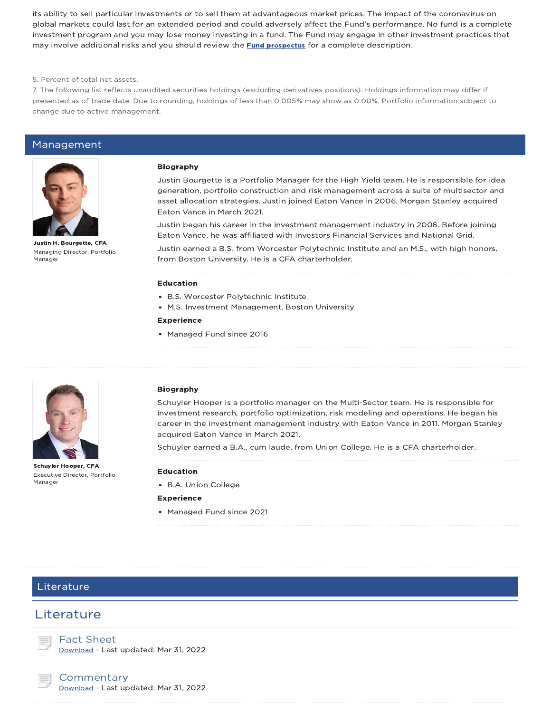its ability to sell particular investments or to sell them at advantageous market prices. The impact of the coronavirus on global markets could last for an extended period and could adversely affect the Fund's performance. No fund is a complete investment program and you may lose money investing in a fund. The Fund may engage in other investment practices that may involve additional risks and you should review the **Fund prospectus** for a complete description.

5. Percent of total net assets.

7. The following list reflects unaudited securities holdings (excluding derivatives positions). Holdings information may differ if presented as of trade date. Due to rounding, holdings of less than 0.005% may show as 0.00%. Portfolio information subject to change due to active management.

### Management



Justin H. Bourgette, CFA Managing Director, Portfolio Manager

#### Biography

Justin Bourgette is a Portfolio Manager for the High Yield team. He is responsible for idea generation, portfolio construction and risk management across a suite of multisector and asset allocation strategies. Justin joined Eaton Vance in 2006. Morgan Stanley acquired Eaton Vance in March 2021.

Justin began his career in the investment management industry in 2006. Before joining Eaton Vance, he was affiliated with Investors Financial Services and National Grid.

Justin earned a B.S. from Worcester Polytechnic Institute and an M.S., with high honors, from Boston University. He is a CFA charterholder.

#### Education

- B.S. Worcester Polytechnic Institute
- M.S. Investment Management, Boston University

#### Experience

• Managed Fund since 2016



Schuyler Hooper, CFA Executive Director, Portfolio Manager

#### Biography

Schuyler Hooper is a portfolio manager on the Multi-Sector team. He is responsible for investment research, portfolio optimization, risk modeling and operations. He began his career in the investment management industry with Eaton Vance in 2011. Morgan Stanley acquired Eaton Vance in March 2021.

Schuyler earned a B.A., cum laude, from Union College. He is a CFA charterholder.

#### Education

B.A. Union College

#### Experience

Managed Fund since 2021

### Literature

### **Literature**

Fact Sheet Download - Last updated: Mar 31, 2022

### **Commentary**

Download - Last updated: Mar 31, 2022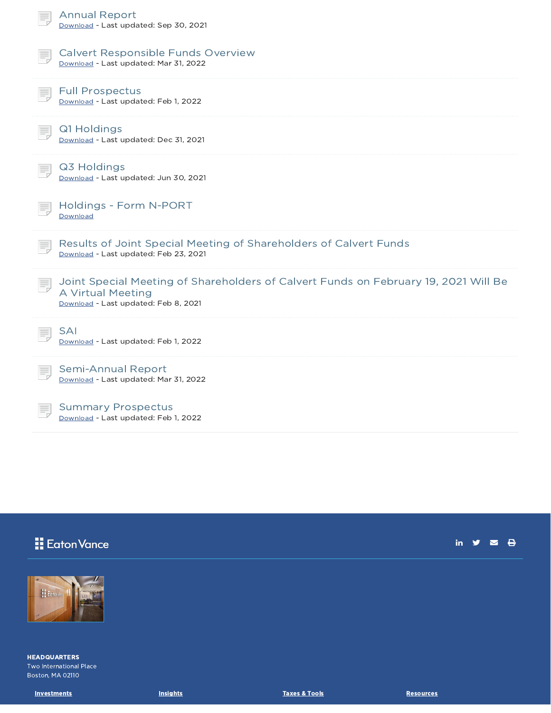| <b>Annual Report</b><br>Download - Last updated: Sep 30, 2021                                                                                    |
|--------------------------------------------------------------------------------------------------------------------------------------------------|
| <b>Calvert Responsible Funds Overview</b><br>Download - Last updated: Mar 31, 2022                                                               |
| <b>Full Prospectus</b><br>Download - Last updated: Feb 1, 2022                                                                                   |
| Q1 Holdings<br>Download - Last updated: Dec 31, 2021                                                                                             |
| Q3 Holdings<br>Download - Last updated: Jun 30, 2021                                                                                             |
| Holdings - Form N-PORT<br>Download                                                                                                               |
| Results of Joint Special Meeting of Shareholders of Calvert Funds<br>ŧ,<br>Download - Last updated: Feb 23, 2021                                 |
| Joint Special Meeting of Shareholders of Calvert Funds on February 19, 2021 Will Be<br>A Virtual Meeting<br>Download - Last updated: Feb 8, 2021 |
| <b>SAI</b><br>Download - Last updated: Feb 1, 2022                                                                                               |
| <b>Semi-Annual Report</b><br>Download - Last updated: Mar 31, 2022                                                                               |
| <b>Summary Prospectus</b><br>Download - Last updated: Feb 1, 2022                                                                                |

# **N** Eaton Vance

in  $y = \theta$ 



HEADQUARTERS Two International Place Boston, MA 02110

Investments **Insights** Insights **Insights** Institute Taxes & Tools **Taxes All Insights** Investments **Resources**